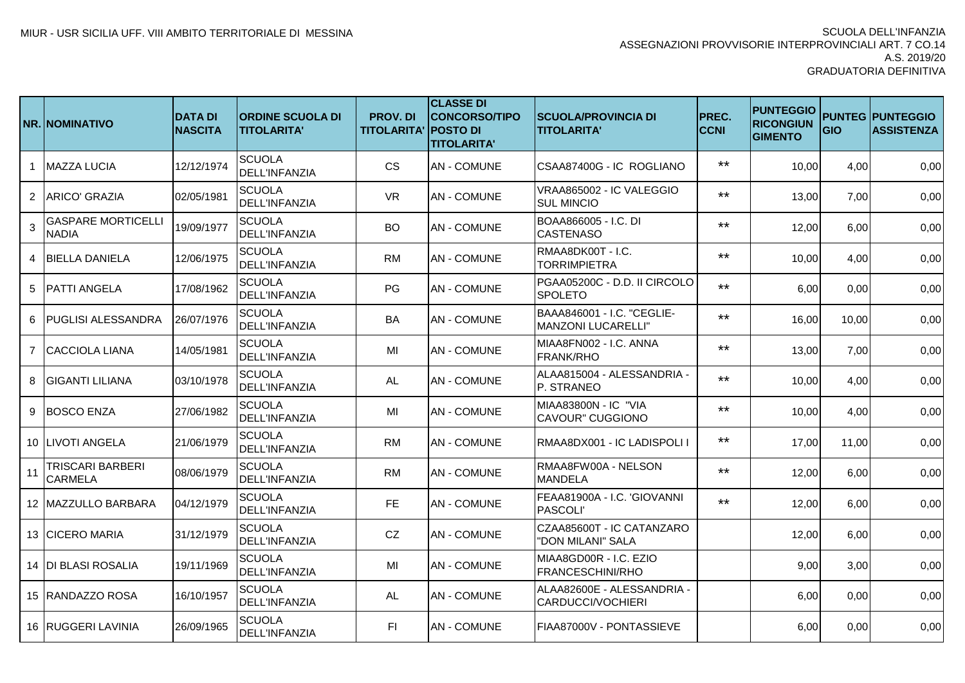|                | <b>NR. NOMINATIVO</b>                     | <b>DATA DI</b><br><b>NASCITA</b> | <b>ORDINE SCUOLA DI</b><br><b>TITOLARITA'</b> | <b>PROV. DI</b><br><b>TITOLARITA' POSTO DI</b> | <b>CLASSE DI</b><br><b>CONCORSO/TIPO</b><br><b>TITOLARITA'</b> | <b>SCUOLA/PROVINCIA DI</b><br><b>TITOLARITA'</b>        | <b>PREC.</b><br><b>CCNI</b> | <b>PUNTEGGIO</b><br><b>RICONGIUN</b><br><b>GIMENTO</b> | GIO   | <b>PUNTEG PUNTEGGIO</b><br><b>ASSISTENZA</b> |
|----------------|-------------------------------------------|----------------------------------|-----------------------------------------------|------------------------------------------------|----------------------------------------------------------------|---------------------------------------------------------|-----------------------------|--------------------------------------------------------|-------|----------------------------------------------|
| -1             | <b>MAZZA LUCIA</b>                        | 12/12/1974                       | <b>SCUOLA</b><br><b>DELL'INFANZIA</b>         | <b>CS</b>                                      | <b>AN-COMUNE</b>                                               | CSAA87400G - IC ROGLIANO                                | $***$                       | 10,00                                                  | 4,00  | 0,00                                         |
| $\overline{2}$ | LARICO' GRAZIA                            | 02/05/1981                       | <b>SCUOLA</b><br><b>DELL'INFANZIA</b>         | <b>VR</b>                                      | <b>AN-COMUNE</b>                                               | VRAA865002 - IC VALEGGIO<br><b>SUL MINCIO</b>           | $***$                       | 13,00                                                  | 7,00  | 0,00                                         |
| 3              | <b>GASPARE MORTICELLI</b><br><b>NADIA</b> | 19/09/1977                       | <b>SCUOLA</b><br><b>DELL'INFANZIA</b>         | <b>BO</b>                                      | <b>AN-COMUNE</b>                                               | BOAA866005 - I.C. DI<br><b>CASTENASO</b>                | $***$                       | 12,00                                                  | 6,00  | 0,00                                         |
| $\Delta$       | <b>BIELLA DANIELA</b>                     | 12/06/1975                       | <b>SCUOLA</b><br><b>DELL'INFANZIA</b>         | <b>RM</b>                                      | <b>AN - COMUNE</b>                                             | RMAA8DK00T - I.C.<br><b>TORRIMPIETRA</b>                | $***$                       | 10,00                                                  | 4,00  | 0,00                                         |
| 5              | <b>PATTI ANGELA</b>                       | 17/08/1962                       | <b>SCUOLA</b><br><b>DELL'INFANZIA</b>         | PG                                             | <b>AN - COMUNE</b>                                             | PGAA05200C - D.D. II CIRCOLO<br>SPOLETO                 | $***$                       | 6,00                                                   | 0,00  | 0,00                                         |
| 6              | <b>PUGLISI ALESSANDRA</b>                 | 26/07/1976                       | <b>SCUOLA</b><br><b>DELL'INFANZIA</b>         | BA                                             | <b>AN-COMUNE</b>                                               | BAAA846001 - I.C. "CEGLIE-<br><b>MANZONI LUCARELLI"</b> | $***$                       | 16,00                                                  | 10,00 | 0,00                                         |
|                | 7 CACCIOLA LIANA                          | 14/05/1981                       | <b>SCUOLA</b><br><b>DELL'INFANZIA</b>         | MI                                             | <b>AN - COMUNE</b>                                             | MIAA8FN002 - I.C. ANNA<br><b>FRANK/RHO</b>              | $***$                       | 13,00                                                  | 7,00  | 0,00                                         |
| 8              | <b>IGIGANTI LILIANA</b>                   | 03/10/1978                       | <b>SCUOLA</b><br><b>DELL'INFANZIA</b>         | AL                                             | IAN - COMUNE                                                   | ALAA815004 - ALESSANDRIA -<br>P. STRANEO                | $***$                       | 10,00                                                  | 4,00  | 0,00                                         |
| 9              | <b>BOSCO ENZA</b>                         | 27/06/1982                       | <b>SCUOLA</b><br><b>DELL'INFANZIA</b>         | MI                                             | <b>AN - COMUNE</b>                                             | MIAA83800N - IC "VIA<br>CAVOUR" CUGGIONO                | $***$                       | 10,00                                                  | 4,00  | 0,00                                         |
|                | 10 LIVOTI ANGELA                          | 21/06/1979                       | <b>SCUOLA</b><br><b>DELL'INFANZIA</b>         | <b>RM</b>                                      | <b>AN - COMUNE</b>                                             | RMAA8DX001 - IC LADISPOLI I                             | $***$                       | 17,00                                                  | 11,00 | 0,00                                         |
| 11             | <b>TRISCARI BARBERI</b><br><b>CARMELA</b> | 08/06/1979                       | <b>SCUOLA</b><br><b>DELL'INFANZIA</b>         | <b>RM</b>                                      | <b>AN-COMUNE</b>                                               | RMAA8FW00A - NELSON<br><b>MANDELA</b>                   | $***$                       | 12,00                                                  | 6,00  | 0,00                                         |
|                | 12 MAZZULLO BARBARA                       | 04/12/1979                       | <b>SCUOLA</b><br><b>DELL'INFANZIA</b>         | <b>FE</b>                                      | <b>AN-COMUNE</b>                                               | FEAA81900A - I.C. 'GIOVANNI<br><b>PASCOLI</b>           | $***$                       | 12,00                                                  | 6,00  | 0,00                                         |
|                | 13 CICERO MARIA                           | 31/12/1979                       | <b>SCUOLA</b><br><b>DELL'INFANZIA</b>         | CZ                                             | <b>AN-COMUNE</b>                                               | CZAA85600T - IC CATANZARO<br>"DON MILANI" SALA          |                             | 12,00                                                  | 6,00  | 0,00                                         |
|                | 14 DI BLASI ROSALIA                       | 19/11/1969                       | <b>SCUOLA</b><br><b>DELL'INFANZIA</b>         | MI                                             | <b>AN - COMUNE</b>                                             | MIAA8GD00R - I.C. EZIO<br><b>FRANCESCHINI/RHO</b>       |                             | 9,00                                                   | 3,00  | 0,00                                         |
|                | 15 RANDAZZO ROSA                          | 16/10/1957                       | <b>SCUOLA</b><br><b>DELL'INFANZIA</b>         | AL                                             | <b>AN - COMUNE</b>                                             | ALAA82600E - ALESSANDRIA -<br>CARDUCCI/VOCHIERI         |                             | 6,00                                                   | 0,00  | 0,00                                         |
|                | 16 IRUGGERI LAVINIA                       | 26/09/1965                       | <b>SCUOLA</b><br><b>DELL'INFANZIA</b>         | F1                                             | IAN - COMUNE                                                   | FIAA87000V - PONTASSIEVE                                |                             | 6,00                                                   | 0,00  | 0,00                                         |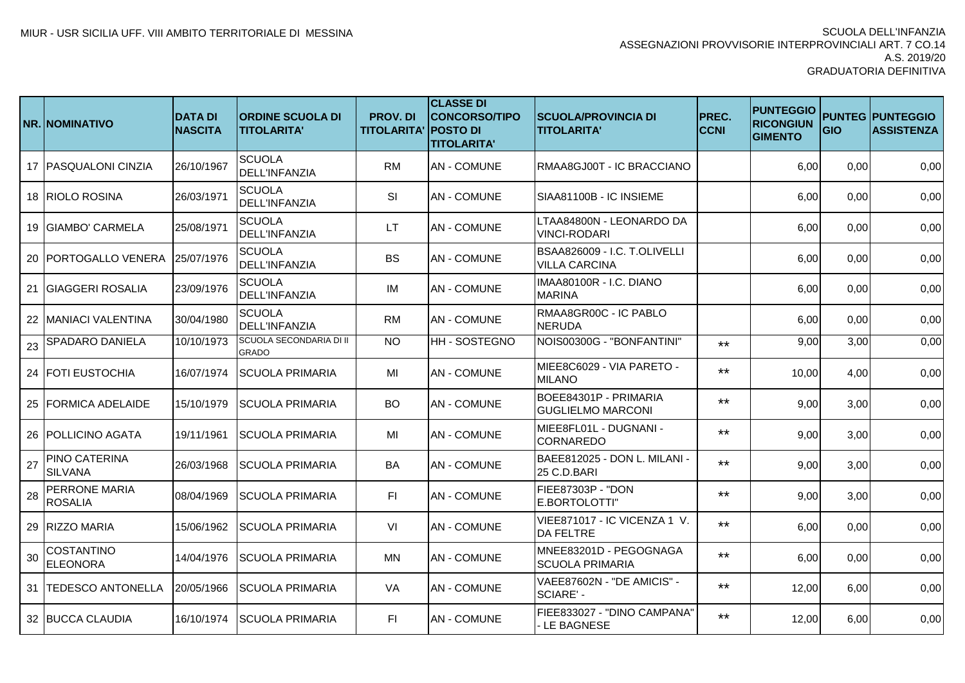|    | NR. INOMINATIVO                        | <b>DATA DI</b><br><b>NASCITA</b> | <b>ORDINE SCUOLA DI</b><br><b>TITOLARITA'</b> | <b>PROV.DI</b><br><b>TITOLARITA' POSTO DI</b> | <b>CLASSE DI</b><br><b>CONCORSO/TIPO</b><br><b>TITOLARITA'</b> | <b>SCUOLA/PROVINCIA DI</b><br><b>TITOLARITA'</b>     | PREC.<br><b>CCNI</b> | <b>PUNTEGGIO</b><br><b>RICONGIUN</b><br><b>GIMENTO</b> | GIO  | <b>PUNTEG PUNTEGGIO</b><br><b>ASSISTENZA</b> |
|----|----------------------------------------|----------------------------------|-----------------------------------------------|-----------------------------------------------|----------------------------------------------------------------|------------------------------------------------------|----------------------|--------------------------------------------------------|------|----------------------------------------------|
|    | 17   PASQUALONI CINZIA                 | 26/10/1967                       | <b>SCUOLA</b><br><b>DELL'INFANZIA</b>         | <b>RM</b>                                     | <b>AN - COMUNE</b>                                             | RMAA8GJ00T - IC BRACCIANO                            |                      | 6,00                                                   | 0,00 | 0,00                                         |
|    | 18 RIOLO ROSINA                        | 26/03/1971                       | <b>SCUOLA</b><br><b>DELL'INFANZIA</b>         | SI                                            | <b>AN - COMUNE</b>                                             | SIAA81100B - IC INSIEME                              |                      | 6,00                                                   | 0,00 | 0,00                                         |
|    | 19 GIAMBO' CARMELA                     | 25/08/1971                       | <b>SCUOLA</b><br><b>DELL'INFANZIA</b>         | <b>LT</b>                                     | <b>AN - COMUNE</b>                                             | LTAA84800N - LEONARDO DA<br>VINCI-RODARI             |                      | 6,00                                                   | 0,00 | 0,00                                         |
|    | 20   PORTOGALLO VENERA                 | 25/07/1976                       | <b>SCUOLA</b><br><b>DELL'INFANZIA</b>         | <b>BS</b>                                     | <b>AN-COMUNE</b>                                               | BSAA826009 - I.C. T.OLIVELLI<br><b>VILLA CARCINA</b> |                      | 6,00                                                   | 0,00 | 0,00                                         |
| 21 | <b>GIAGGERI ROSALIA</b>                | 23/09/1976                       | <b>SCUOLA</b><br><b>DELL'INFANZIA</b>         | IM                                            | <b>AN - COMUNE</b>                                             | IMAA80100R - I.C. DIANO<br><b>MARINA</b>             |                      | 6,00                                                   | 0,00 | 0,00                                         |
| 22 | MANIACI VALENTINA                      | 30/04/1980                       | <b>SCUOLA</b><br><b>DELL'INFANZIA</b>         | <b>RM</b>                                     | <b>AN - COMUNE</b>                                             | RMAA8GR00C - IC PABLO<br><b>NERUDA</b>               |                      | 6,00                                                   | 0,00 | 0,00                                         |
| 23 | <b>SPADARO DANIELA</b>                 | 10/10/1973                       | SCUOLA SECONDARIA DI II<br><b>GRADO</b>       | $\overline{N}$                                | <b>HH-SOSTEGNO</b>                                             | NOIS00300G - "BONFANTINI"                            | $***$                | 9,00                                                   | 3,00 | 0,00                                         |
|    | 24 FOTI EUSTOCHIA                      | 16/07/1974                       | <b>SCUOLA PRIMARIA</b>                        | MI                                            | <b>AN-COMUNE</b>                                               | MIEE8C6029 - VIA PARETO -<br><b>MILANO</b>           | $***$                | 10,00                                                  | 4,00 | 0,00                                         |
|    | 25 FORMICA ADELAIDE                    | 15/10/1979                       | <b>SCUOLA PRIMARIA</b>                        | <b>BO</b>                                     | <b>AN - COMUNE</b>                                             | BOEE84301P - PRIMARIA<br><b>GUGLIELMO MARCONI</b>    | $***$                | 9,00                                                   | 3,00 | 0,00                                         |
|    | <b>26 POLLICINO AGATA</b>              | 19/11/1961                       | <b>SCUOLA PRIMARIA</b>                        | MI                                            | <b>AN - COMUNE</b>                                             | MIEE8FL01L - DUGNANI -<br><b>CORNAREDO</b>           | $***$                | 9,00                                                   | 3,00 | 0,00                                         |
| 27 | <b>PINO CATERINA</b><br><b>SILVANA</b> | 26/03/1968                       | <b>SCUOLA PRIMARIA</b>                        | BA                                            | <b>AN - COMUNE</b>                                             | BAEE812025 - DON L. MILANI -<br>25 C.D.BARI          | $***$                | 9,00                                                   | 3,00 | 0,00                                         |
| 28 | <b>PERRONE MARIA</b><br><b>ROSALIA</b> | 08/04/1969                       | <b>SCUOLA PRIMARIA</b>                        | FI.                                           | <b>AN-COMUNE</b>                                               | <b>FIEE87303P - "DON</b><br>E.BORTOLOTTI"            | $***$                | 9,00                                                   | 3,00 | 0,00                                         |
|    | 29 RIZZO MARIA                         | 15/06/1962                       | <b>SCUOLA PRIMARIA</b>                        | VI                                            | <b>AN-COMUNE</b>                                               | VIEE871017 - IC VICENZA 1 V.<br><b>DA FELTRE</b>     | $***$                | 6,00                                                   | 0,00 | 0,00                                         |
| 30 | <b>COSTANTINO</b><br><b>ELEONORA</b>   | 14/04/1976                       | <b>SCUOLA PRIMARIA</b>                        | MN                                            | <b>AN - COMUNE</b>                                             | MNEE83201D - PEGOGNAGA<br>SCUOLA PRIMARIA            | $***$                | 6,00                                                   | 0,00 | 0,00                                         |
| 31 | <b>TEDESCO ANTONELLA</b>               | 20/05/1966                       | <b>SCUOLA PRIMARIA</b>                        | VA                                            | <b>AN-COMUNE</b>                                               | VAEE87602N - "DE AMICIS" -<br>SCIARE' -              | $***$                | 12,00                                                  | 6,00 | 0,00                                         |
|    | 32 BUCCA CLAUDIA                       | 16/10/1974                       | <b>SCUOLA PRIMARIA</b>                        | FI.                                           | <b>AN-COMUNE</b>                                               | FIEE833027 - "DINO CAMPANA"<br>LE BAGNESE            | $***$                | 12,00                                                  | 6,00 | 0,00                                         |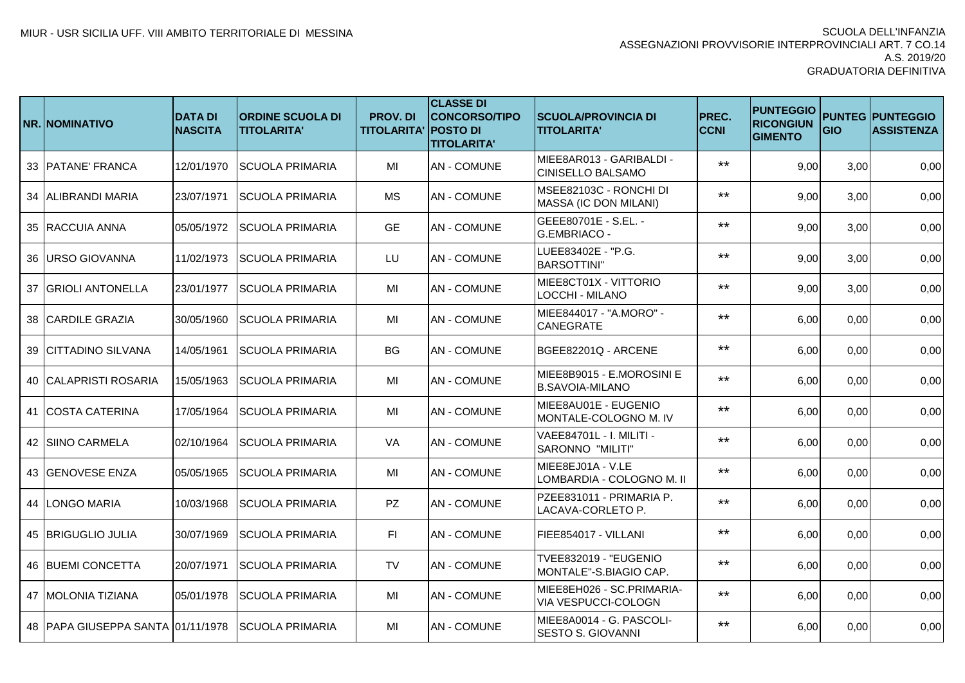|    | <b>NR. NOMINATIVO</b>               | <b>DATA DI</b><br><b>NASCITA</b> | <b>IORDINE SCUOLA DI</b><br><b>TITOLARITA'</b> | <b>PROV.DI</b><br><b>TITOLARITA' POSTO DI</b> | <b>CLASSE DI</b><br><b>CONCORSO/TIPO</b><br><b>TITOLARITA'</b> | <b>SCUOLA/PROVINCIA DI</b><br><b>TITOLARITA'</b>     | PREC.<br><b>CCNI</b> | <b>PUNTEGGIO</b><br><b>RICONGIUN</b><br><b>GIMENTO</b> | GIO  | <b>PUNTEG PUNTEGGIO</b><br><b>ASSISTENZA</b> |
|----|-------------------------------------|----------------------------------|------------------------------------------------|-----------------------------------------------|----------------------------------------------------------------|------------------------------------------------------|----------------------|--------------------------------------------------------|------|----------------------------------------------|
|    | 33 PATANE' FRANCA                   | 12/01/1970                       | <b>SCUOLA PRIMARIA</b>                         | MI                                            | <b>AN - COMUNE</b>                                             | MIEE8AR013 - GARIBALDI -<br><b>CINISELLO BALSAMO</b> | $***$                | 9,00                                                   | 3,00 | 0,00                                         |
| 34 | <b>ALIBRANDI MARIA</b>              | 23/07/1971                       | <b>SCUOLA PRIMARIA</b>                         | <b>MS</b>                                     | <b>AN-COMUNE</b>                                               | MSEE82103C - RONCHI DI<br>MASSA (IC DON MILANI)      | $***$                | 9,00                                                   | 3,00 | 0,00                                         |
|    | 35 RACCUIA ANNA                     | 05/05/1972                       | ISCUOLA PRIMARIA                               | <b>GE</b>                                     | <b>AN-COMUNE</b>                                               | GEEE80701E - S.EL. -<br>G.EMBRIACO -                 | $***$                | 9,00                                                   | 3,00 | 0,00                                         |
|    | 36 URSO GIOVANNA                    | 11/02/1973                       | <b>SCUOLA PRIMARIA</b>                         | LU                                            | AN - COMUNE                                                    | LUEE83402E - "P.G.<br><b>BARSOTTINI"</b>             | $***$                | 9,00                                                   | 3,00 | 0,00                                         |
| 37 | <b>IGRIOLI ANTONELLA</b>            | 23/01/1977                       | <b>SCUOLA PRIMARIA</b>                         | MI                                            | <b>AN - COMUNE</b>                                             | MIEE8CT01X - VITTORIO<br>LOCCHI - MILANO             | $***$                | 9,00                                                   | 3,00 | 0,00                                         |
| 38 | <b>CARDILE GRAZIA</b>               | 30/05/1960                       | <b>SCUOLA PRIMARIA</b>                         | MI                                            | <b>AN-COMUNE</b>                                               | MIEE844017 - "A.MORO" -<br>CANEGRATE                 | $***$                | 6,00                                                   | 0,00 | 0,00                                         |
| 39 | <b>CITTADINO SILVANA</b>            | 14/05/1961                       | <b>SCUOLA PRIMARIA</b>                         | <b>BG</b>                                     | <b>AN-COMUNE</b>                                               | BGEE82201Q - ARCENE                                  | $***$                | 6,00                                                   | 0,00 | 0,00                                         |
| 40 | <b>CALAPRISTI ROSARIA</b>           | 15/05/1963                       | <b>SCUOLA PRIMARIA</b>                         | MI                                            | <b>AN-COMUNE</b>                                               | MIEE8B9015 - E.MOROSINI E<br><b>B.SAVOIA-MILANO</b>  | $***$                | 6,00                                                   | 0,00 | 0,00                                         |
| 41 | <b>ICOSTA CATERINA</b>              | 17/05/1964                       | ISCUOLA PRIMARIA                               | MI                                            | <b>AN - COMUNE</b>                                             | MIEE8AU01E - EUGENIO<br>MONTALE-COLOGNO M. IV        | $***$                | 6,00                                                   | 0,00 | 0,00                                         |
|    | 42 SIINO CARMELA                    | 02/10/1964                       | <b>SCUOLA PRIMARIA</b>                         | VA                                            | <b>AN-COMUNE</b>                                               | VAEE84701L - I. MILITI -<br>SARONNO "MILITI"         | $***$                | 6,00                                                   | 0,00 | 0,00                                         |
| 43 | <b>GENOVESE ENZA</b>                | 05/05/1965                       | <b>SCUOLA PRIMARIA</b>                         | MI                                            | <b>AN-COMUNE</b>                                               | MIEE8EJ01A - V.LE<br>LOMBARDIA - COLOGNO M. II       | $***$                | 6,00                                                   | 0,00 | 0,00                                         |
|    | 44 LONGO MARIA                      | 10/03/1968                       | <b>SCUOLA PRIMARIA</b>                         | PZ                                            | <b>AN-COMUNE</b>                                               | PZEE831011 - PRIMARIA P.<br>LACAVA-CORLETO P.        | $***$                | 6,00                                                   | 0,00 | 0,00                                         |
|    | 45 <b>IBRIGUGLIO JULIA</b>          | 30/07/1969                       | <b>SCUOLA PRIMARIA</b>                         | FL.                                           | <b>AN - COMUNE</b>                                             | FIEE854017 - VILLANI                                 | $***$                | 6,00                                                   | 0,00 | 0,00                                         |
|    | 46 BUEMI CONCETTA                   | 20/07/1971                       | <b>SCUOLA PRIMARIA</b>                         | TV                                            | <b>AN - COMUNE</b>                                             | TVEE832019 - "EUGENIO<br>MONTALE"-S.BIAGIO CAP.      | $***$                | 6,00                                                   | 0,00 | 0,00                                         |
| 47 | <b>MOLONIA TIZIANA</b>              | 05/01/1978                       | <b>SCUOLA PRIMARIA</b>                         | MI                                            | <b>AN - COMUNE</b>                                             | MIEE8EH026 - SC.PRIMARIA-<br>VIA VESPUCCI-COLOGN     | $***$                | 6,00                                                   | 0,00 | 0,00                                         |
|    | 48   PAPA GIUSEPPA SANTA 01/11/1978 |                                  | <b>SCUOLA PRIMARIA</b>                         | MI                                            | <b>AN-COMUNE</b>                                               | MIEE8A0014 - G. PASCOLI-<br>SESTO S. GIOVANNI        | $***$                | 6,00                                                   | 0,00 | 0,00                                         |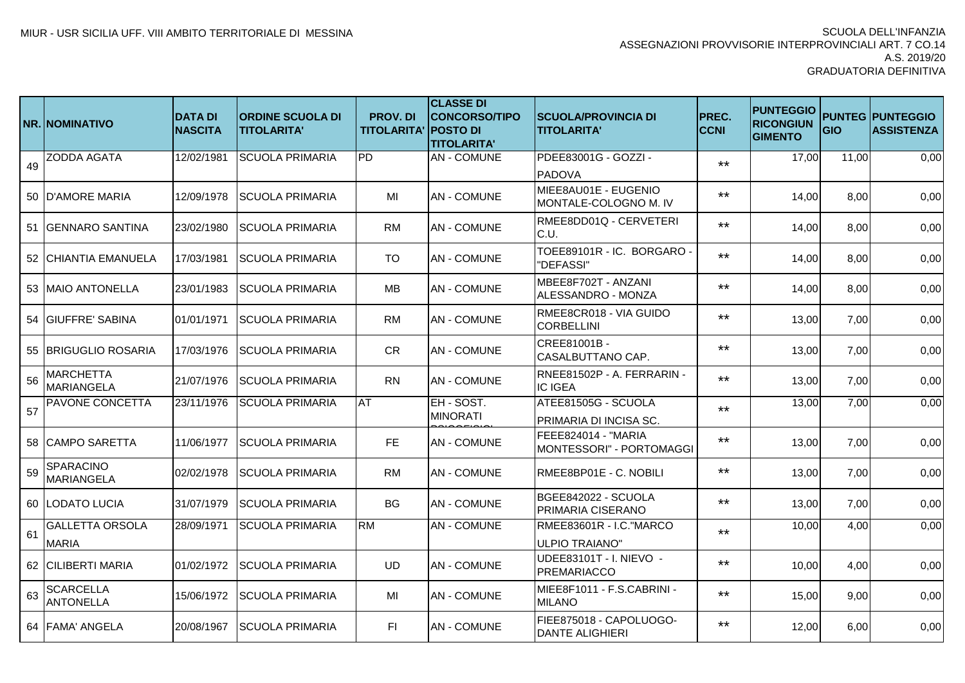|    | <b>NR. NOMINATIVO</b>                  | <b>DATA DI</b><br><b>NASCITA</b> | <b>IORDINE SCUOLA DI</b><br><b>TITOLARITA'</b> | <b>PROV. DI</b><br><b>TITOLARITA' POSTO DI</b> | <b>CLASSE DI</b><br><b>CONCORSO/TIPO</b><br><b>TITOLARITA'</b> | <b>SCUOLA/PROVINCIA DI</b><br><b>TITOLARITA'</b>  | PREC.<br><b>CCNI</b> | <b>PUNTEGGIO</b><br><b>RICONGIUN</b><br><b>GIMENTO</b> | GIO   | <b>PUNTEG PUNTEGGIO</b><br><b>ASSISTENZA</b> |
|----|----------------------------------------|----------------------------------|------------------------------------------------|------------------------------------------------|----------------------------------------------------------------|---------------------------------------------------|----------------------|--------------------------------------------------------|-------|----------------------------------------------|
| 49 | <b>ZODDA AGATA</b>                     | 12/02/1981                       | <b>SCUOLA PRIMARIA</b>                         | PD                                             | <b>AN - COMUNE</b>                                             | PDEE83001G - GOZZI -                              | $***$                | 17,00                                                  | 11,00 | 0,00                                         |
|    |                                        |                                  |                                                |                                                |                                                                | <b>PADOVA</b>                                     |                      |                                                        |       |                                              |
|    | 50 D'AMORE MARIA                       | 12/09/1978                       | <b>SCUOLA PRIMARIA</b>                         | MI                                             | <b>AN-COMUNE</b>                                               | MIEE8AU01E - EUGENIO<br>MONTALE-COLOGNO M. IV     | $***$                | 14,00                                                  | 8,00  | 0,00                                         |
| 51 | <b>GENNARO SANTINA</b>                 | 23/02/1980                       | <b>SCUOLA PRIMARIA</b>                         | <b>RM</b>                                      | <b>AN - COMUNE</b>                                             | RMEE8DD01Q - CERVETERI<br>C.U.                    | $***$                | 14,00                                                  | 8,00  | 0,00                                         |
| 52 | <b>CHIANTIA EMANUELA</b>               | 17/03/1981                       | <b>SCUOLA PRIMARIA</b>                         | <b>TO</b>                                      | <b>AN - COMUNE</b>                                             | TOEE89101R - IC. BORGARO -<br>"DEFASSI"           | $***$                | 14,00                                                  | 8,00  | 0,00                                         |
|    | 53 IMAIO ANTONELLA                     | 23/01/1983                       | <b>SCUOLA PRIMARIA</b>                         | MB                                             | AN - COMUNE                                                    | MBEE8F702T - ANZANI<br>ALESSANDRO - MONZA         | $***$                | 14,00                                                  | 8,00  | 0,00                                         |
| 54 | <b>GIUFFRE' SABINA</b>                 | 01/01/1971                       | <b>SCUOLA PRIMARIA</b>                         | <b>RM</b>                                      | <b>AN-COMUNE</b>                                               | RMEE8CR018 - VIA GUIDO<br><b>CORBELLINI</b>       | $***$                | 13,00                                                  | 7,00  | 0,00                                         |
| 55 | <b>BRIGUGLIO ROSARIA</b>               | 17/03/1976                       | <b>SCUOLA PRIMARIA</b>                         | <b>CR</b>                                      | <b>AN-COMUNE</b>                                               | CREE81001B -<br>CASALBUTTANO CAP.                 | $***$                | 13,00                                                  | 7,00  | 0,00                                         |
| 56 | <b>MARCHETTA</b><br><b>MARIANGELA</b>  | 21/07/1976                       | <b>SCUOLA PRIMARIA</b>                         | <b>RN</b>                                      | <b>AN - COMUNE</b>                                             | RNEE81502P - A. FERRARIN -<br><b>IC IGEA</b>      | $***$                | 13,00                                                  | 7,00  | 0,00                                         |
| 57 | <b>PAVONE CONCETTA</b>                 | 23/11/1976                       | <b>SCUOLA PRIMARIA</b>                         | AT                                             | EH - SOST.<br><b>MINORATI</b>                                  | ATEE81505G - SCUOLA<br>PRIMARIA DI INCISA SC.     | $***$                | 13,00                                                  | 7,00  | 0,00                                         |
| 58 | <b>CAMPO SARETTA</b>                   | 11/06/1977                       | <b>SCUOLA PRIMARIA</b>                         | <b>FE</b>                                      | <b>AN-COMUNE</b>                                               | FEEE824014 - "MARIA<br>MONTESSORI" - PORTOMAGGI   | $***$                | 13,00                                                  | 7,00  | 0,00                                         |
| 59 | <b>SPARACINO</b><br><b>MARIANGELA</b>  | 02/02/1978                       | <b>SCUOLA PRIMARIA</b>                         | <b>RM</b>                                      | <b>AN-COMUNE</b>                                               | RMEE8BP01E - C. NOBILI                            | $***$                | 13,00                                                  | 7,00  | 0,00                                         |
|    | 60 LODATO LUCIA                        | 31/07/1979                       | <b>SCUOLA PRIMARIA</b>                         | <b>BG</b>                                      | <b>AN-COMUNE</b>                                               | BGEE842022 - SCUOLA<br>PRIMARIA CISERANO          | $***$                | 13,00                                                  | 7,00  | 0,00                                         |
| 61 | <b>GALLETTA ORSOLA</b><br><b>MARIA</b> | 28/09/1971                       | <b>SCUOLA PRIMARIA</b>                         | <b>RM</b>                                      | <b>AN - COMUNE</b>                                             | RMEE83601R - I.C."MARCO<br>ULPIO TRAIANO"         | $***$                | 10,00                                                  | 4,00  | 0,00                                         |
|    | 62 CILIBERTI MARIA                     | 01/02/1972                       | <b>SCUOLA PRIMARIA</b>                         | UD                                             | <b>AN-COMUNE</b>                                               | UDEE83101T - I. NIEVO -<br><b>PREMARIACCO</b>     | $***$                | 10,00                                                  | 4,00  | 0,00                                         |
| 63 | <b>SCARCELLA</b><br><b>ANTONELLA</b>   | 15/06/1972                       | <b>SCUOLA PRIMARIA</b>                         | MI                                             | <b>AN-COMUNE</b>                                               | MIEE8F1011 - F.S.CABRINI -<br><b>MILANO</b>       | $***$                | 15,00                                                  | 9,00  | 0,00                                         |
|    | 64 FAMA' ANGELA                        | 20/08/1967                       | <b>SCUOLA PRIMARIA</b>                         | F1                                             | <b>AN-COMUNE</b>                                               | FIEE875018 - CAPOLUOGO-<br><b>DANTE ALIGHIERI</b> | $***$                | 12,00                                                  | 6,00  | 0,00                                         |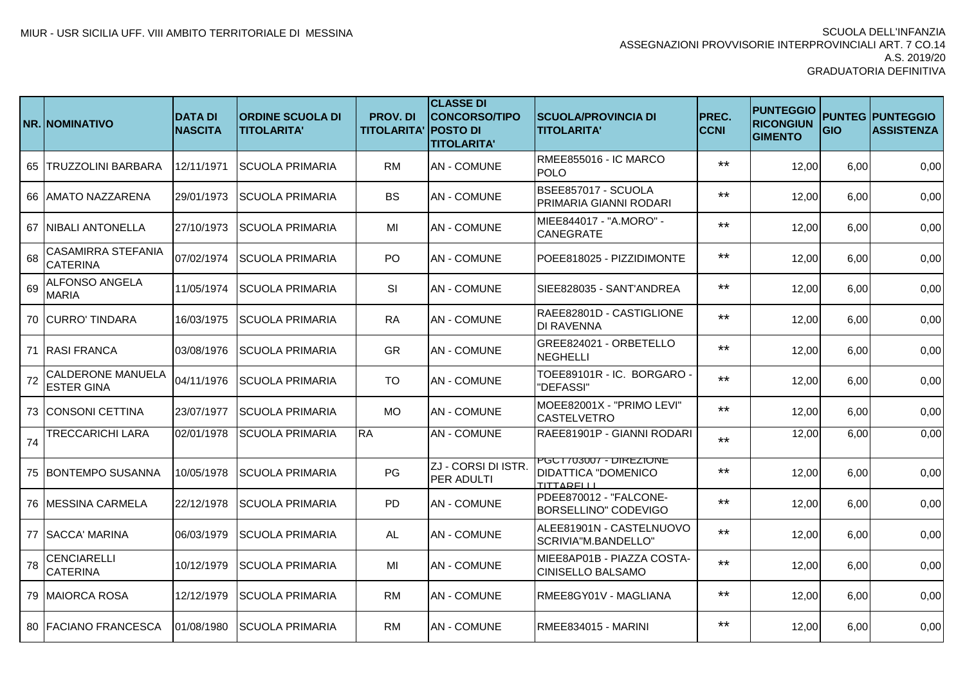|    | <b>NR. INOMINATIVO</b>                        | <b>DATA DI</b><br><b>NASCITA</b> | <b>ORDINE SCUOLA DI</b><br>TITOLARITA' | <b>PROV.DI</b><br><b>TITOLARITA' POSTO DI</b> | <b>CLASSE DI</b><br>CONCORSO/TIPO<br><b>TITOLARITA'</b> | <b>SCUOLA/PROVINCIA DI</b><br><b>TITOLARITA'</b>                   | PREC.<br><b>CCNI</b> | <b>PUNTEGGIO</b><br><b>RICONGIUN</b><br><b>GIMENTO</b> | GIO  | <b>PUNTEG PUNTEGGIO</b><br><b>ASSISTENZA</b> |
|----|-----------------------------------------------|----------------------------------|----------------------------------------|-----------------------------------------------|---------------------------------------------------------|--------------------------------------------------------------------|----------------------|--------------------------------------------------------|------|----------------------------------------------|
| 65 | <b>TRUZZOLINI BARBARA</b>                     | 12/11/1971                       | <b>SCUOLA PRIMARIA</b>                 | <b>RM</b>                                     | <b>AN - COMUNE</b>                                      | RMEE855016 - IC MARCO<br><b>POLO</b>                               | $***$                | 12,00                                                  | 6,00 | 0,00                                         |
|    | 66 AMATO NAZZARENA                            | 29/01/1973                       | <b>SCUOLA PRIMARIA</b>                 | <b>BS</b>                                     | <b>AN - COMUNE</b>                                      | BSEE857017 - SCUOLA<br><b>PRIMARIA GIANNI RODARI</b>               | $***$                | 12,00                                                  | 6,00 | 0,00                                         |
|    | 67 NIBALI ANTONELLA                           | 27/10/1973                       | <b>SCUOLA PRIMARIA</b>                 | MI                                            | <b>AN-COMUNE</b>                                        | MIEE844017 - "A.MORO" -<br><b>CANEGRATE</b>                        | $***$                | 12,00                                                  | 6,00 | 0,00                                         |
| 68 | <b>CASAMIRRA STEFANIA</b><br><b>CATERINA</b>  | 07/02/1974                       | <b>SCUOLA PRIMARIA</b>                 | <b>PO</b>                                     | <b>AN - COMUNE</b>                                      | POEE818025 - PIZZIDIMONTE                                          | $***$                | 12,00                                                  | 6,00 | 0,00                                         |
| 69 | <b>ALFONSO ANGELA</b><br><b>MARIA</b>         | 11/05/1974                       | <b>SCUOLA PRIMARIA</b>                 | <b>SI</b>                                     | <b>AN-COMUNE</b>                                        | SIEE828035 - SANT'ANDREA                                           | $***$                | 12,00                                                  | 6,00 | 0,00                                         |
|    | 70 CURRO' TINDARA                             | 16/03/1975                       | <b>SCUOLA PRIMARIA</b>                 | <b>RA</b>                                     | <b>AN-COMUNE</b>                                        | RAEE82801D - CASTIGLIONE<br><b>DI RAVENNA</b>                      | $***$                | 12,00                                                  | 6,00 | 0,00                                         |
|    | 71 RASI FRANCA                                | 03/08/1976                       | <b>SCUOLA PRIMARIA</b>                 | <b>GR</b>                                     | <b>AN - COMUNE</b>                                      | GREE824021 - ORBETELLO<br><b>NEGHELLI</b>                          | $***$                | 12,00                                                  | 6,00 | 0,00                                         |
| 72 | <b>CALDERONE MANUELA</b><br><b>ESTER GINA</b> | 04/11/1976                       | <b>SCUOLA PRIMARIA</b>                 | <b>TO</b>                                     | <b>AN - COMUNE</b>                                      | TOEE89101R - IC. BORGARO -<br>"DEFASSI"                            | $***$                | 12,00                                                  | 6,00 | 0,00                                         |
|    | 73 CONSONI CETTINA                            | 23/07/1977                       | <b>SCUOLA PRIMARIA</b>                 | <b>MO</b>                                     | <b>AN - COMUNE</b>                                      | MOEE82001X - "PRIMO LEVI"<br><b>CASTELVETRO</b>                    | $***$                | 12,00                                                  | 6,00 | 0,00                                         |
| 74 | <b>TRECCARICHI LARA</b>                       | 02/01/1978                       | <b>SCUOLA PRIMARIA</b>                 | <b>RA</b>                                     | <b>AN - COMUNE</b>                                      | RAEE81901P - GIANNI RODARI                                         | $***$                | 12,00                                                  | 6,00 | 0,00                                         |
|    | 75 BONTEMPO SUSANNA                           | 10/05/1978                       | <b>SCUOLA PRIMARIA</b>                 | PG                                            | ZJ - CORSI DI ISTR.<br><b>PER ADULTI</b>                | PGCT703007 - DIREZIONE<br><b>DIDATTICA "DOMENICO</b><br>TITTARFIII | $***$                | 12,00                                                  | 6,00 | 0,00                                         |
|    | 76 MESSINA CARMELA                            | 22/12/1978                       | <b>SCUOLA PRIMARIA</b>                 | <b>PD</b>                                     | <b>AN - COMUNE</b>                                      | PDEE870012 - "FALCONE-<br><b>BORSELLINO" CODEVIGO</b>              | $***$                | 12,00                                                  | 6,00 | 0,00                                         |
|    | 77 ISACCA' MARINA                             | 06/03/1979                       | <b>SCUOLA PRIMARIA</b>                 | AL                                            | <b>AN - COMUNE</b>                                      | ALEE81901N - CASTELNUOVO<br>SCRIVIA"M.BANDELLO"                    | $***$                | 12,00                                                  | 6,00 | 0,00                                         |
| 78 | <b>CENCIARELLI</b><br><b>CATERINA</b>         | 10/12/1979                       | <b>SCUOLA PRIMARIA</b>                 | MI                                            | <b>AN - COMUNE</b>                                      | MIEE8AP01B - PIAZZA COSTA-<br><b>CINISELLO BALSAMO</b>             | $***$                | 12,00                                                  | 6,00 | 0,00                                         |
|    | 79 IMAIORCA ROSA                              | 12/12/1979                       | SCUOLA PRIMARIA                        | RM.                                           | <b>AN-COMUNE</b>                                        | IRMEE8GY01V - MAGLIANA                                             | $***$                | 12,00                                                  | 6,00 | 0,00                                         |
|    | 80 FACIANO FRANCESCA                          | 01/08/1980                       | <b>SCUOLA PRIMARIA</b>                 | <b>RM</b>                                     | <b>AN-COMUNE</b>                                        | RMEE834015 - MARINI                                                | $***$                | 12,00                                                  | 6,00 | 0,00                                         |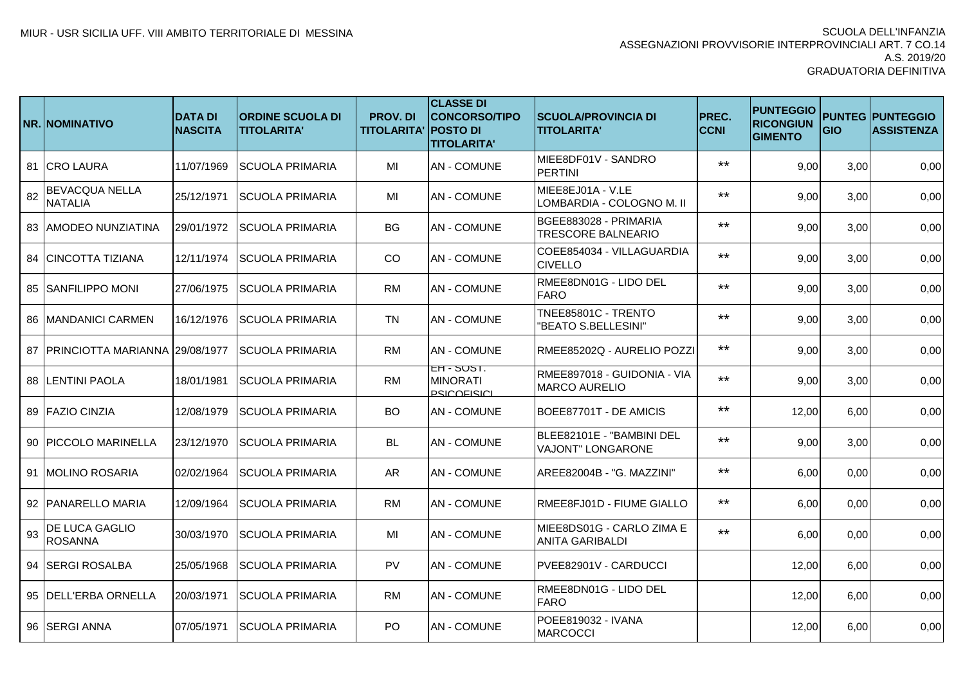|    | <b>NR. NOMINATIVO</b>                   | <b>DATA DI</b><br><b>NASCITA</b> | <b>ORDINE SCUOLA DI</b><br><b>TITOLARITA'</b> | <b>PROV. DI</b><br><b>TITOLARITA' POSTO DI</b> | <b>CLASSE DI</b><br><b>CONCORSO/TIPO</b><br><b>TITOLARITA'</b> | <b>SCUOLA/PROVINCIA DI</b><br><b>TITOLARITA'</b>    | PREC.<br><b>CCNI</b> | <b>IPUNTEGGIO</b><br><b>RICONGIUN</b><br><b>GIMENTO</b> | GIO  | <b>PUNTEG PUNTEGGIO</b><br><b>ASSISTENZA</b> |
|----|-----------------------------------------|----------------------------------|-----------------------------------------------|------------------------------------------------|----------------------------------------------------------------|-----------------------------------------------------|----------------------|---------------------------------------------------------|------|----------------------------------------------|
| 81 | <b>CRO LAURA</b>                        | 11/07/1969                       | <b>SCUOLA PRIMARIA</b>                        | MI                                             | <b>AN-COMUNE</b>                                               | MIEE8DF01V - SANDRO<br><b>PERTINI</b>               | $***$                | 9,00                                                    | 3,00 | 0,00                                         |
| 82 | <b>BEVACQUA NELLA</b><br><b>NATALIA</b> | 25/12/1971                       | <b>SCUOLA PRIMARIA</b>                        | MI                                             | <b>AN-COMUNE</b>                                               | MIEE8EJ01A - V.LE<br>LOMBARDIA - COLOGNO M. II      | $***$                | 9,00                                                    | 3,00 | 0,00                                         |
|    | 83 AMODEO NUNZIATINA                    | 29/01/1972                       | <b>SCUOLA PRIMARIA</b>                        | BG                                             | <b>AN - COMUNE</b>                                             | BGEE883028 - PRIMARIA<br><b>TRESCORE BALNEARIO</b>  | $***$                | 9,00                                                    | 3,00 | 0,00                                         |
| 84 | <b>ICINCOTTA TIZIANA</b>                | 12/11/1974                       | <b>SCUOLA PRIMARIA</b>                        | CO                                             | <b>AN-COMUNE</b>                                               | COEE854034 - VILLAGUARDIA<br><b>CIVELLO</b>         | $***$                | 9,00                                                    | 3,00 | 0,00                                         |
|    | <b>ISANFILIPPO MONI</b>                 | 27/06/1975                       | <b>SCUOLA PRIMARIA</b>                        | RM                                             | <b>AN-COMUNE</b>                                               | RMEE8DN01G - LIDO DEL<br>FARO                       | $***$                | 9,00                                                    | 3,00 | 0,00                                         |
| 86 | <b>MANDANICI CARMEN</b>                 | 16/12/1976                       | <b>SCUOLA PRIMARIA</b>                        | <b>TN</b>                                      | <b>AN-COMUNE</b>                                               | TNEE85801C - TRENTO<br>"BEATO S.BELLESINI"          | $***$                | 9,00                                                    | 3,00 | 0,00                                         |
| 87 | <b>PRINCIOTTA MARIANNA 29/08/1977</b>   |                                  | <b>SCUOLA PRIMARIA</b>                        | <b>RM</b>                                      | <b>AN-COMUNE</b>                                               | RMEE85202Q - AURELIO POZZI                          | $***$                | 9,00                                                    | 3,00 | 0,00                                         |
| 88 | <b>LENTINI PAOLA</b>                    | 18/01/1981                       | <b>SCUOLA PRIMARIA</b>                        | <b>RM</b>                                      | EH - SUST.<br><b>MINORATI</b><br><b>PSICOFISICI</b>            | RMEE897018 - GUIDONIA - VIA<br><b>MARCO AURELIO</b> | $***$                | 9,00                                                    | 3,00 | 0,00                                         |
| 89 | <b>FAZIO CINZIA</b>                     | 12/08/1979                       | <b>SCUOLA PRIMARIA</b>                        | <b>BO</b>                                      | <b>AN-COMUNE</b>                                               | BOEE87701T - DE AMICIS                              | $***$                | 12,00                                                   | 6,00 | 0,00                                         |
| 90 | <b>PICCOLO MARINELLA</b>                | 23/12/1970                       | <b>SCUOLA PRIMARIA</b>                        | <b>BL</b>                                      | <b>AN-COMUNE</b>                                               | BLEE82101E - "BAMBINI DEL<br>VAJONT" LONGARONE      | $***$                | 9,00                                                    | 3,00 | 0,00                                         |
|    | 91 MOLINO ROSARIA                       | 02/02/1964                       | <b>SCUOLA PRIMARIA</b>                        | AR                                             | <b>AN-COMUNE</b>                                               | AREE82004B - "G. MAZZINI"                           | $***$                | 6,00                                                    | 0,00 | 0,00                                         |
|    | 92 PANARELLO MARIA                      | 12/09/1964                       | <b>SCUOLA PRIMARIA</b>                        | <b>RM</b>                                      | <b>AN-COMUNE</b>                                               | RMEE8FJ01D - FIUME GIALLO                           | $***$                | 6,00                                                    | 0,00 | 0,00                                         |
| 93 | <b>DE LUCA GAGLIO</b><br><b>ROSANNA</b> | 30/03/1970                       | <b>SCUOLA PRIMARIA</b>                        | MI                                             | <b>AN-COMUNE</b>                                               | MIEE8DS01G - CARLO ZIMA E<br><b>ANITA GARIBALDI</b> | $***$                | 6,00                                                    | 0,00 | 0,00                                         |
| 94 | <b>ISERGI ROSALBA</b>                   | 25/05/1968                       | <b>SCUOLA PRIMARIA</b>                        | <b>PV</b>                                      | <b>AN-COMUNE</b>                                               | PVEE82901V - CARDUCCI                               |                      | 12,00                                                   | 6,00 | 0,00                                         |
| 95 | <b>DELL'ERBA ORNELLA</b>                | 20/03/1971                       | <b>SCUOLA PRIMARIA</b>                        | RM                                             | <b>AN-COMUNE</b>                                               | RMEE8DN01G - LIDO DEL<br><b>FARO</b>                |                      | 12,00                                                   | 6,00 | 0,00                                         |
|    | 96 SERGI ANNA                           | 07/05/1971                       | <b>SCUOLA PRIMARIA</b>                        | PO                                             | <b>AN-COMUNE</b>                                               | POEE819032 - IVANA<br><b>MARCOCCI</b>               |                      | 12,00                                                   | 6,00 | 0,00                                         |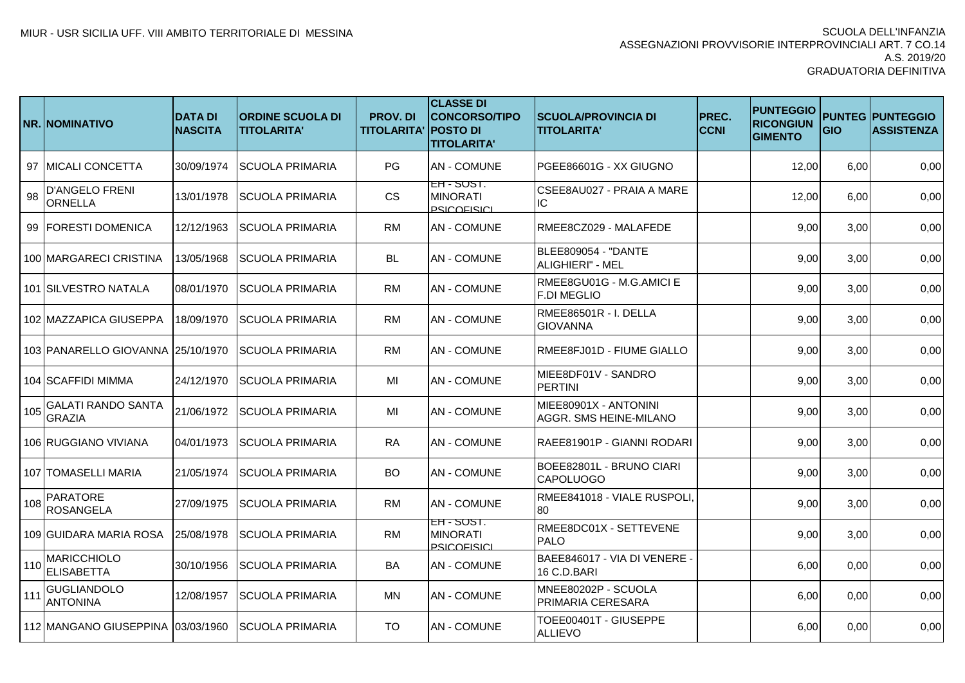|     | <b>NR.INOMINATIVO</b>                   | <b>DATA DI</b><br><b>NASCITA</b> | <b>ORDINE SCUOLA DI</b><br><b>TITOLARITA'</b> | <b>PROV.DI</b><br><b>TITOLARITA' POSTO DI</b> | <b>CLASSE DI</b><br><b>CONCORSO/TIPO</b><br><b>TITOLARITA'</b> | <b>SCUOLA/PROVINCIA DI</b><br><b>TITOLARITA'</b> | PREC.<br><b>CCNI</b> | <b>PUNTEGGIO</b><br><b>RICONGIUN</b><br><b>GIMENTO</b> | GIO  | <b>PUNTEG PUNTEGGIO</b><br><b>ASSISTENZA</b> |
|-----|-----------------------------------------|----------------------------------|-----------------------------------------------|-----------------------------------------------|----------------------------------------------------------------|--------------------------------------------------|----------------------|--------------------------------------------------------|------|----------------------------------------------|
|     | 97 IMICALI CONCETTA                     | 30/09/1974                       | <b>SCUOLA PRIMARIA</b>                        | PG                                            | <b>AN - COMUNE</b>                                             | PGEE86601G - XX GIUGNO                           |                      | 12,00                                                  | 6,00 | 0,00                                         |
| 98  | <b>D'ANGELO FRENI</b><br>ORNELLA        | 13/01/1978                       | <b>SCUOLA PRIMARIA</b>                        | <b>CS</b>                                     | EH - ১৩১।.<br><b>MINORATI</b><br><b>PSICOFISICI</b>            | CSEE8AU027 - PRAIA A MARE<br>IC                  |                      | 12,00                                                  | 6,00 | 0,00                                         |
|     | 99 FORESTI DOMENICA                     | 12/12/1963                       | <b>SCUOLA PRIMARIA</b>                        | <b>RM</b>                                     | <b>AN - COMUNE</b>                                             | RMEE8CZ029 - MALAFEDE                            |                      | 9,00                                                   | 3,00 | 0,00                                         |
|     | 100 MARGARECI CRISTINA                  | 13/05/1968                       | <b>SCUOLA PRIMARIA</b>                        | <b>BL</b>                                     | <b>AN - COMUNE</b>                                             | <b>BLEE809054 - "DANTE</b><br>ALIGHIERI" - MEL   |                      | 9,00                                                   | 3,00 | 0,00                                         |
|     | 101 SILVESTRO NATALA                    | 08/01/1970                       | <b>SCUOLA PRIMARIA</b>                        | <b>RM</b>                                     | <b>AN - COMUNE</b>                                             | RMEE8GU01G - M.G.AMICI E<br><b>F.DI MEGLIO</b>   |                      | 9,00                                                   | 3,00 | 0,00                                         |
|     | 102 MAZZAPICA GIUSEPPA                  | 18/09/1970                       | <b>SCUOLA PRIMARIA</b>                        | <b>RM</b>                                     | <b>AN - COMUNE</b>                                             | RMEE86501R - I. DELLA<br><b>GIOVANNA</b>         |                      | 9,00                                                   | 3,00 | 0,00                                         |
|     | 103 PANARELLO GIOVANNA 25/10/1970       |                                  | <b>SCUOLA PRIMARIA</b>                        | <b>RM</b>                                     | <b>AN-COMUNE</b>                                               | RMEE8FJ01D - FIUME GIALLO                        |                      | 9,00                                                   | 3,00 | 0,00                                         |
|     | 104 SCAFFIDI MIMMA                      | 24/12/1970                       | <b>SCUOLA PRIMARIA</b>                        | MI                                            | <b>AN - COMUNE</b>                                             | MIEE8DF01V - SANDRO<br><b>PERTINI</b>            |                      | 9,00                                                   | 3,00 | 0,00                                         |
| 105 | GALATI RANDO SANTA<br><b>GRAZIA</b>     | 21/06/1972                       | <b>SCUOLA PRIMARIA</b>                        | MI                                            | AN - COMUNE                                                    | MIEE80901X - ANTONINI<br>AGGR. SMS HEINE-MILANO  |                      | 9,00                                                   | 3,00 | 0,00                                         |
|     | 106 RUGGIANO VIVIANA                    | 04/01/1973                       | <b>SCUOLA PRIMARIA</b>                        | <b>RA</b>                                     | <b>AN - COMUNE</b>                                             | RAEE81901P - GIANNI RODARI                       |                      | 9,00                                                   | 3,00 | 0,00                                         |
|     | 107 TOMASELLI MARIA                     | 21/05/1974                       | <b>SCUOLA PRIMARIA</b>                        | <b>BO</b>                                     | <b>AN-COMUNE</b>                                               | BOEE82801L - BRUNO CIARI<br><b>CAPOLUOGO</b>     |                      | 9,00                                                   | 3,00 | 0,00                                         |
| 108 | <b>PARATORE</b><br><b>ROSANGELA</b>     | 27/09/1975                       | <b>SCUOLA PRIMARIA</b>                        | RM                                            | <b>AN - COMUNE</b>                                             | RMEE841018 - VIALE RUSPOLI<br>80                 |                      | 9,00                                                   | 3,00 | 0,00                                         |
|     | 109 GUIDARA MARIA ROSA                  | 25/08/1978                       | <b>SCUOLA PRIMARIA</b>                        | <b>RM</b>                                     | EH - SUST.<br><b>MINORATI</b><br><b>PSICOFISICI</b>            | RMEE8DC01X - SETTEVENE<br><b>PALO</b>            |                      | 9,00                                                   | 3,00 | 0,00                                         |
| 110 | <b>MARICCHIOLO</b><br><b>ELISABETTA</b> | 30/10/1956                       | <b>SCUOLA PRIMARIA</b>                        | BA                                            | <b>AN - COMUNE</b>                                             | BAEE846017 - VIA DI VENERE -<br>16 C.D.BARI      |                      | 6,00                                                   | 0,00 | 0,00                                         |
| 111 | GUGLIANDOLO<br><b>ANTONINA</b>          | 12/08/1957                       | <b>SCUOLA PRIMARIA</b>                        | MN                                            | <b>AN - COMUNE</b>                                             | MNEE80202P - SCUOLA<br>PRIMARIA CERESARA         |                      | 6,00                                                   | 0,00 | 0,00                                         |
|     | 112 MANGANO GIUSEPPINA 03/03/1960       |                                  | <b>SCUOLA PRIMARIA</b>                        | <b>TO</b>                                     | AN - COMUNE                                                    | TOEE00401T - GIUSEPPE<br><b>ALLIEVO</b>          |                      | 6,00                                                   | 0,00 | 0,00                                         |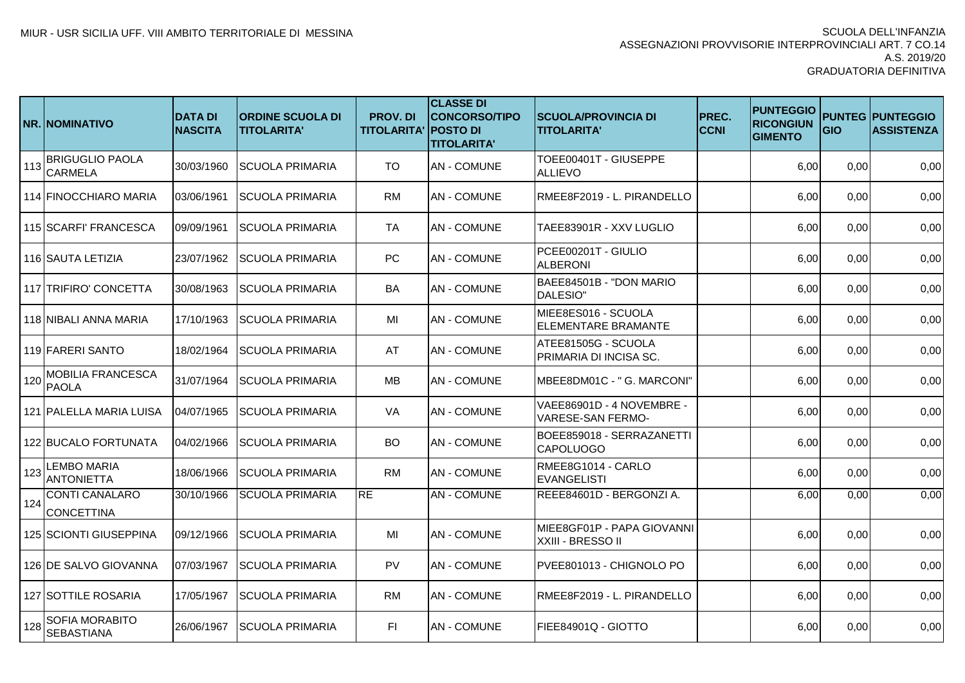|     | <b>NR.INOMINATIVO</b>                      | <b>DATA DI</b><br><b>NASCITA</b> | <b>ORDINE SCUOLA DI</b><br><b>TITOLARITA'</b> | <b>PROV.DI</b><br><b>TITOLARITA' POSTO DI</b> | <b>CLASSE DI</b><br><b>CONCORSO/TIPO</b><br><b>TITOLARITA'</b> | <b>SCUOLA/PROVINCIA DI</b><br><b>TITOLARITA'</b>      | PREC.<br><b>CCNI</b> | <b>PUNTEGGIO</b><br><b>RICONGIUN</b><br><b>GIMENTO</b> | GIO  | <b>PUNTEG PUNTEGGIO</b><br><b>ASSISTENZA</b> |
|-----|--------------------------------------------|----------------------------------|-----------------------------------------------|-----------------------------------------------|----------------------------------------------------------------|-------------------------------------------------------|----------------------|--------------------------------------------------------|------|----------------------------------------------|
| 113 | <b>BRIGUGLIO PAOLA</b><br><b>CARMELA</b>   | 30/03/1960                       | <b>SCUOLA PRIMARIA</b>                        | <b>TO</b>                                     | <b>AN - COMUNE</b>                                             | TOEE00401T - GIUSEPPE<br><b>ALLIEVO</b>               |                      | 6,00                                                   | 0,00 | 0,00                                         |
|     | 114 FINOCCHIARO MARIA                      | 03/06/1961                       | <b>SCUOLA PRIMARIA</b>                        | <b>RM</b>                                     | <b>AN-COMUNE</b>                                               | RMEE8F2019 - L. PIRANDELLO                            |                      | 6,00                                                   | 0,00 | 0,00                                         |
|     | 115 SCARFI' FRANCESCA                      | 09/09/1961                       | <b>SCUOLA PRIMARIA</b>                        | TA                                            | <b>AN-COMUNE</b>                                               | TAEE83901R - XXV LUGLIO                               |                      | 6,00                                                   | 0,00 | 0,00                                         |
|     | 116 ISAUTA LETIZIA                         | 23/07/1962                       | <b>SCUOLA PRIMARIA</b>                        | PC                                            | <b>AN - COMUNE</b>                                             | PCEE00201T - GIULIO<br><b>ALBERONI</b>                |                      | 6,00                                                   | 0,00 | 0,00                                         |
|     | 117 TRIFIRO' CONCETTA                      | 30/08/1963                       | SCUOLA PRIMARIA                               | <b>BA</b>                                     | <b>AN-COMUNE</b>                                               | BAEE84501B - "DON MARIO<br><b>DALESIO"</b>            |                      | 6,00                                                   | 0,00 | 0,00                                         |
|     | 118 NIBALI ANNA MARIA                      | 17/10/1963                       | <b>SCUOLA PRIMARIA</b>                        | MI                                            | <b>AN-COMUNE</b>                                               | MIEE8ES016 - SCUOLA<br><b>ELEMENTARE BRAMANTE</b>     |                      | 6,00                                                   | 0,00 | 0,00                                         |
|     | 119 FARERI SANTO                           | 18/02/1964                       | <b>SCUOLA PRIMARIA</b>                        | AT                                            | <b>AN-COMUNE</b>                                               | ATEE81505G - SCUOLA<br>PRIMARIA DI INCISA SC.         |                      | 6,00                                                   | 0,00 | 0,00                                         |
| 120 | <b>MOBILIA FRANCESCA</b><br><b>PAOLA</b>   | 31/07/1964                       | <b>SCUOLA PRIMARIA</b>                        | <b>MB</b>                                     | <b>AN - COMUNE</b>                                             | MBEE8DM01C - "G. MARCONI"                             |                      | 6,00                                                   | 0,00 | 0,00                                         |
|     | 121 PALELLA MARIA LUISA                    | 04/07/1965                       | <b>SCUOLA PRIMARIA</b>                        | VA                                            | <b>AN - COMUNE</b>                                             | VAEE86901D - 4 NOVEMBRE -<br><b>VARESE-SAN FERMO-</b> |                      | 6,00                                                   | 0,00 | 0,00                                         |
|     | 122 BUCALO FORTUNATA                       | 04/02/1966                       | <b>SCUOLA PRIMARIA</b>                        | BO.                                           | <b>AN-COMUNE</b>                                               | BOEE859018 - SERRAZANETTI<br><b>CAPOLUOGO</b>         |                      | 6,00                                                   | 0,00 | 0,00                                         |
| 123 | <b>LEMBO MARIA</b><br><b>ANTONIETTA</b>    | 18/06/1966                       | <b>SCUOLA PRIMARIA</b>                        | RM                                            | <b>AN-COMUNE</b>                                               | RMEE8G1014 - CARLO<br>EVANGELISTI                     |                      | 6,00                                                   | 0,00 | 0,00                                         |
| 124 | <b>CONTI CANALARO</b><br><b>CONCETTINA</b> | 30/10/1966                       | <b>SCUOLA PRIMARIA</b>                        | <b>RE</b>                                     | <b>AN-COMUNE</b>                                               | REEE84601D - BERGONZI A.                              |                      | 6,00                                                   | 0,00 | 0,00                                         |
|     | 125 SCIONTI GIUSEPPINA                     | 09/12/1966                       | <b>SCUOLA PRIMARIA</b>                        | MI                                            | <b>AN - COMUNE</b>                                             | MIEE8GF01P - PAPA GIOVANNI<br>XXIII - BRESSO II       |                      | 6,00                                                   | 0,00 | 0,00                                         |
|     | 126 DE SALVO GIOVANNA                      | 07/03/1967                       | <b>SCUOLA PRIMARIA</b>                        | <b>PV</b>                                     | <b>AN-COMUNE</b>                                               | PVEE801013 - CHIGNOLO PO                              |                      | 6,00                                                   | 0,00 | 0,00                                         |
|     | 127 SOTTILE ROSARIA                        | 17/05/1967                       | <b>SCUOLA PRIMARIA</b>                        | <b>RM</b>                                     | <b>AN - COMUNE</b>                                             | RMEE8F2019 - L. PIRANDELLO                            |                      | 6,00                                                   | 0,00 | 0,00                                         |
| 128 | SOFIA MORABITO<br><b>SEBASTIANA</b>        | 26/06/1967                       | <b>SCUOLA PRIMARIA</b>                        | FL.                                           | <b>AN - COMUNE</b>                                             | FIEE84901Q - GIOTTO                                   |                      | 6,00                                                   | 0,00 | 0,00                                         |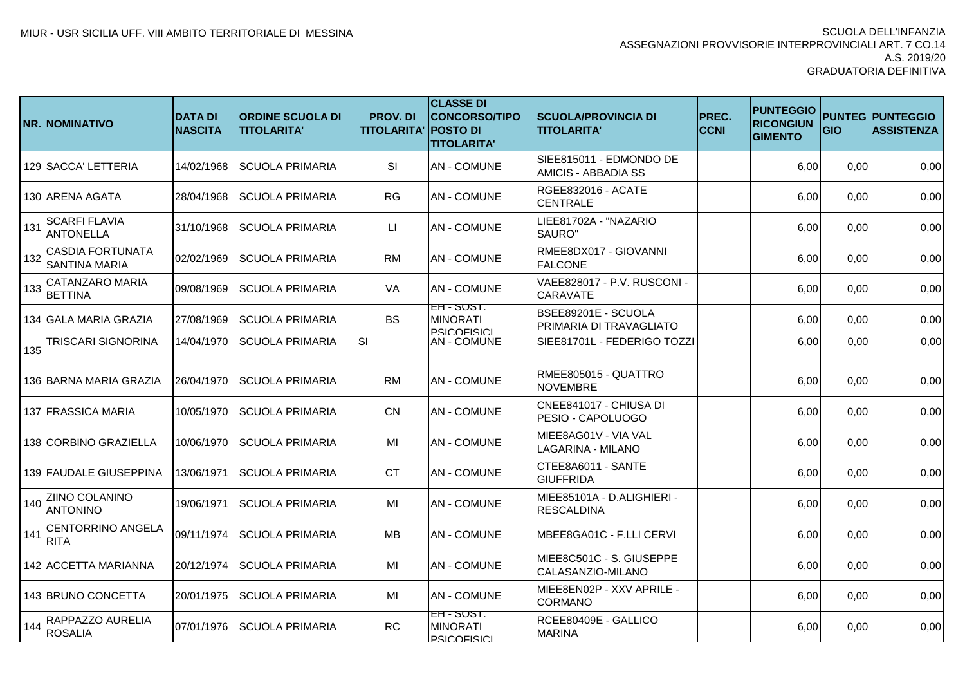|     | NR. NOMINATIVO                                  | <b>DATA DI</b><br><b>NASCITA</b> | <b>ORDINE SCUOLA DI</b><br><b>TITOLARITA'</b> | <b>PROV.DI</b><br><b>TITOLARITA' POSTO DI</b> | <b>CLASSE DI</b><br><b>CONCORSO/TIPO</b><br><b>TITOLARITA'</b> | <b>SCUOLA/PROVINCIA DI</b><br><b>TITOLARITA'</b>      | PREC.<br><b>CCNI</b> | <b>PUNTEGGIO</b><br><b>RICONGIUN</b><br><b>GIMENTO</b> | GIO  | <b>PUNTEG PUNTEGGIO</b><br><b>ASSISTENZA</b> |
|-----|-------------------------------------------------|----------------------------------|-----------------------------------------------|-----------------------------------------------|----------------------------------------------------------------|-------------------------------------------------------|----------------------|--------------------------------------------------------|------|----------------------------------------------|
|     | 129 SACCA' LETTERIA                             | 14/02/1968                       | <b>SCUOLA PRIMARIA</b>                        | SI                                            | <b>AN - COMUNE</b>                                             | SIEE815011 - EDMONDO DE<br><b>AMICIS - ABBADIA SS</b> |                      | 6,00                                                   | 0,00 | 0,00                                         |
|     | 130 ARENA AGATA                                 | 28/04/1968                       | <b>SCUOLA PRIMARIA</b>                        | <b>RG</b>                                     | <b>AN - COMUNE</b>                                             | RGEE832016 - ACATE<br><b>CENTRALE</b>                 |                      | 6,00                                                   | 0,00 | 0,00                                         |
| 131 | <b>SCARFI FLAVIA</b><br><b>ANTONELLA</b>        | 31/10/1968                       | <b>SCUOLA PRIMARIA</b>                        | $\Box$                                        | <b>AN - COMUNE</b>                                             | LIEE81702A - "NAZARIO<br>SAURO"                       |                      | 6,00                                                   | 0,00 | 0,00                                         |
| 132 | <b>CASDIA FORTUNATA</b><br><b>SANTINA MARIA</b> | 02/02/1969                       | <b>SCUOLA PRIMARIA</b>                        | <b>RM</b>                                     | <b>AN - COMUNE</b>                                             | RMEE8DX017 - GIOVANNI<br><b>FALCONE</b>               |                      | 6,00                                                   | 0,00 | 0,00                                         |
| 133 | CATANZARO MARIA<br><b>BETTINA</b>               | 09/08/1969                       | <b>SCUOLA PRIMARIA</b>                        | <b>VA</b>                                     | <b>AN - COMUNE</b>                                             | VAEE828017 - P.V. RUSCONI -<br><b>CARAVATE</b>        |                      | 6,00                                                   | 0,00 | 0,00                                         |
|     | 134 GALA MARIA GRAZIA                           | 27/08/1969                       | <b>SCUOLA PRIMARIA</b>                        | <b>BS</b>                                     | EH - SUST.<br><b>MINORATI</b><br>PSICOFISICI                   | BSEE89201E - SCUOLA<br>PRIMARIA DI TRAVAGLIATO        |                      | 6,00                                                   | 0,00 | 0,00                                         |
| 135 | <b>TRISCARI SIGNORINA</b>                       | 14/04/1970                       | <b>SCUOLA PRIMARIA</b>                        | $\overline{\mathsf{S}}$                       | <b>AN - COMUNE</b>                                             | SIEE81701L - FEDERIGO TOZZI                           |                      | 6,00                                                   | 0,00 | 0,00                                         |
|     | 136 BARNA MARIA GRAZIA                          | 26/04/1970                       | <b>SCUOLA PRIMARIA</b>                        | <b>RM</b>                                     | <b>AN - COMUNE</b>                                             | RMEE805015 - QUATTRO<br><b>NOVEMBRE</b>               |                      | 6,00                                                   | 0,00 | 0,00                                         |
|     | 137 FRASSICA MARIA                              | 10/05/1970                       | <b>SCUOLA PRIMARIA</b>                        | <b>CN</b>                                     | <b>AN - COMUNE</b>                                             | CNEE841017 - CHIUSA DI<br>PESIO - CAPOLUOGO           |                      | 6,00                                                   | 0,00 | 0,00                                         |
|     | 138 CORBINO GRAZIELLA                           | 10/06/1970                       | <b>SCUOLA PRIMARIA</b>                        | MI                                            | <b>AN - COMUNE</b>                                             | MIEE8AG01V - VIA VAL<br><b>LAGARINA - MILANO</b>      |                      | 6,00                                                   | 0,00 | 0,00                                         |
|     | 139 FAUDALE GIUSEPPINA                          | 13/06/1971                       | <b>SCUOLA PRIMARIA</b>                        | <b>CT</b>                                     | <b>AN - COMUNE</b>                                             | CTEE8A6011 - SANTE<br><b>GIUFFRIDA</b>                |                      | 6,00                                                   | 0,00 | 0,00                                         |
| 140 | ZIINO COLANINO<br><b>ANTONINO</b>               | 19/06/1971                       | <b>SCUOLA PRIMARIA</b>                        | MI                                            | <b>AN - COMUNE</b>                                             | MIEE85101A - D.ALIGHIERI -<br><b>RESCALDINA</b>       |                      | 6,00                                                   | 0,00 | 0,00                                         |
| 141 | <b>CENTORRINO ANGELA</b><br><b>RITA</b>         | 09/11/1974                       | <b>SCUOLA PRIMARIA</b>                        | <b>MB</b>                                     | <b>AN - COMUNE</b>                                             | MBEE8GA01C - F.LLI CERVI                              |                      | 6,00                                                   | 0,00 | 0,00                                         |
|     | 142 ACCETTA MARIANNA                            | 20/12/1974                       | <b>SCUOLA PRIMARIA</b>                        | MI                                            | <b>AN - COMUNE</b>                                             | MIEE8C501C - S. GIUSEPPE<br>CALASANZIO-MILANO         |                      | 6,00                                                   | 0,00 | 0,00                                         |
|     | 143 BRUNO CONCETTA                              | 20/01/1975                       | <b>SCUOLA PRIMARIA</b>                        | MI                                            | <b>AN - COMUNE</b>                                             | MIEE8EN02P - XXV APRILE -<br><b>CORMANO</b>           |                      | 6,00                                                   | 0,00 | 0,00                                         |
| 144 | RAPPAZZO AURELIA<br><b>ROSALIA</b>              | 07/01/1976                       | <b>SCUOLA PRIMARIA</b>                        | <b>RC</b>                                     | EH - SUST.<br><b>MINORATI</b><br><b>PSICOFISICI</b>            | RCEE80409E - GALLICO<br><b>MARINA</b>                 |                      | 6,00                                                   | 0,00 | 0,00                                         |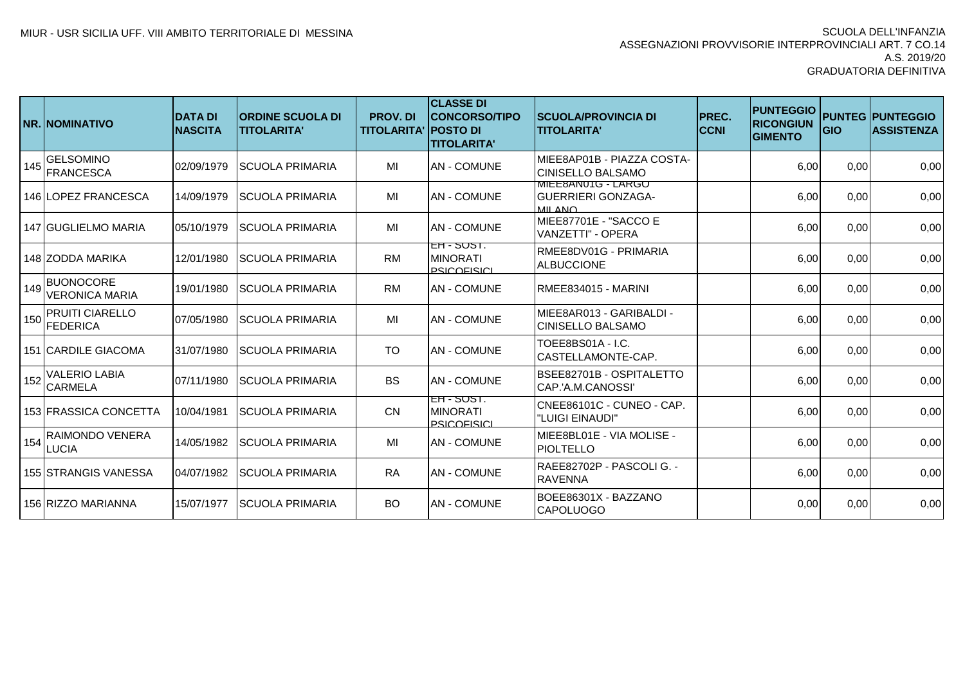|     | <b>NR. INOMINATIVO</b>                    | <b>DATA DI</b><br><b>NASCITA</b> | <b>IORDINE SCUOLA DI</b><br><b>TITOLARITA'</b> | <b>PROV.DI</b><br><b>TITOLARITA' IPOSTO DI</b> | <b>CLASSE DI</b><br><b>CONCORSO/TIPO</b><br><b>ITITOLARITA'</b> | <b>ISCUOLA/PROVINCIA DI</b><br><b>TITOLARITA'</b>                 | <b>PREC.</b><br><b>CCNI</b> | <b>PUNTEGGIO</b><br><b>RICONGIUN</b><br><b>GIMENTO</b> | <b>IGIO</b> | <b>PUNTEG PUNTEGGIO</b><br><b>ASSISTENZA</b> |
|-----|-------------------------------------------|----------------------------------|------------------------------------------------|------------------------------------------------|-----------------------------------------------------------------|-------------------------------------------------------------------|-----------------------------|--------------------------------------------------------|-------------|----------------------------------------------|
| 145 | <b>GELSOMINO</b><br><b>FRANCESCA</b>      | 02/09/1979                       | <b>SCUOLA PRIMARIA</b>                         | MI                                             | <b>AN-COMUNE</b>                                                | IMIEE8AP01B - PIAZZA COSTA-<br><b>CINISELLO BALSAMO</b>           |                             | 6,00                                                   | 0,00        | 0,00                                         |
|     | 146 LOPEZ FRANCESCA                       | 14/09/1979                       | <b>SCUOLA PRIMARIA</b>                         | MI                                             | <b>AN-COMUNE</b>                                                | <b>MIEE8ANUTG - LARGO</b><br><b>GUERRIERI GONZAGA-</b><br>MII ANO |                             | 6,00                                                   | 0,00        | 0,00                                         |
|     | 147 IGUGLIELMO MARIA                      | 05/10/1979                       | ISCUOLA PRIMARIA                               | MI                                             | <b>JAN - COMUNE</b>                                             | MIEE87701E - "SACCO E<br>VANZETTI" - OPERA                        |                             | 6,00                                                   | 0,00        | 0,00                                         |
|     | 148 ZODDA MARIKA                          | 12/01/1980                       | <b>ISCUOLA PRIMARIA</b>                        | <b>RM</b>                                      | $ET - 5051.$<br><b>MINORATI</b><br><b>PSICOFISICI</b>           | RMEE8DV01G - PRIMARIA<br><b>ALBUCCIONE</b>                        |                             | 6,00                                                   | 0,00        | 0,00                                         |
| 149 | <b>BUONOCORE</b><br><b>VERONICA MARIA</b> | 19/01/1980                       | <b>SCUOLA PRIMARIA</b>                         | <b>RM</b>                                      | <b>AN-COMUNE</b>                                                | RMEE834015 - MARINI                                               |                             | 6,00                                                   | 0,00        | 0,00                                         |
|     | <b>PRUITI CIARELLO</b><br>150 FEDERICA    | 07/05/1980                       | <b>SCUOLA PRIMARIA</b>                         | MI                                             | <b>AN-COMUNE</b>                                                | MIEE8AR013 - GARIBALDI -<br><b>CINISELLO BALSAMO</b>              |                             | 6,00                                                   | 0,00        | 0,00                                         |
|     | <b>151 CARDILE GIACOMA</b>                | 31/07/1980                       | <b>ISCUOLA PRIMARIA</b>                        | <b>TO</b>                                      | <b>AN - COMUNE</b>                                              | TOEE8BS01A - I.C.<br><b>CASTELLAMONTE-CAP.</b>                    |                             | 6,00                                                   | 0,00        | 0,00                                         |
| 152 | <b>VALERIO LABIA</b><br><b>CARMELA</b>    | 07/11/1980                       | <b>ISCUOLA PRIMARIA</b>                        | <b>BS</b>                                      | <b>JAN - COMUNE</b>                                             | BSEE82701B - OSPITALETTO<br>CAP.'A.M.CANOSSI'                     |                             | 6,00                                                   | 0,00        | 0,00                                         |
|     | 153 FRASSICA CONCETTA                     | 10/04/1981                       | <b>SCUOLA PRIMARIA</b>                         | <b>CN</b>                                      | EH - SUST.<br><b>MINORATI</b><br><b>PSICOFISICI</b>             | CNEE86101C - CUNEO - CAP.<br>"LUIGI EINAUDI"                      |                             | 6,00                                                   | 0,00        | 0,00                                         |
| 154 | <b>RAIMONDO VENERA</b><br><b>LUCIA</b>    | 14/05/1982                       | ISCUOLA PRIMARIA                               | MI                                             | <b>AN - COMUNE</b>                                              | MIEE8BL01E - VIA MOLISE -<br><b>PIOLTELLO</b>                     |                             | 6,00                                                   | 0,00        | 0,00                                         |
|     | 155 ISTRANGIS VANESSA                     | 04/07/1982                       | <b>ISCUOLA PRIMARIA</b>                        | <b>RA</b>                                      | <b>AN-COMUNE</b>                                                | RAEE82702P - PASCOLI G. -<br><b>RAVENNA</b>                       |                             | 6,00                                                   | 0,00        | 0,00                                         |
|     | 156 RIZZO MARIANNA                        | 15/07/1977                       | <b>SCUOLA PRIMARIA</b>                         | <b>BO</b>                                      | <b>AN-COMUNE</b>                                                | BOEE86301X - BAZZANO<br><b>CAPOLUOGO</b>                          |                             | 0,00                                                   | 0,00        | 0,00                                         |